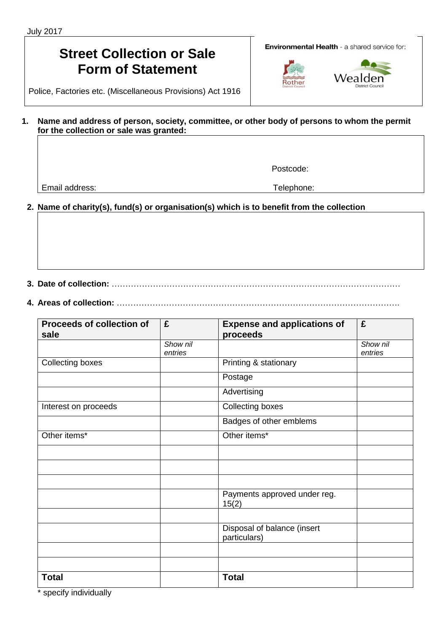# **Street Collection or Sale Form of Statement**

**Environmental Health - a shared service for:** 





Police, Factories etc. (Miscellaneous Provisions) Act 1916

#### **1. Name and address of person, society, committee, or other body of persons to whom the permit for the collection or sale was granted:**

Email address: Telephone: Telephone: Telephone: Telephone: Telephone: Telephone: Telephone: Telephone: Telephone: Telephone: Telephone: Telephone: Telephone: Telephone: Telephone: Telephone: Telephone: Telephone: Telephone

Postcode:

## **2. Name of charity(s), fund(s) or organisation(s) which is to benefit from the collection**

**3. Date of collection:** ……………………………………………………………………………………………

**4. Areas of collection:** ………………………………………………………………………………………….

| Proceeds of collection of<br>sale | £        | <b>Expense and applications of</b><br>proceeds | £        |
|-----------------------------------|----------|------------------------------------------------|----------|
|                                   | Show nil |                                                | Show nil |
|                                   | entries  |                                                | entries  |
| Collecting boxes                  |          | Printing & stationary                          |          |
|                                   |          | Postage                                        |          |
|                                   |          | Advertising                                    |          |
| Interest on proceeds              |          | <b>Collecting boxes</b>                        |          |
|                                   |          | Badges of other emblems                        |          |
| Other items*                      |          | Other items*                                   |          |
|                                   |          |                                                |          |
|                                   |          |                                                |          |
|                                   |          |                                                |          |
|                                   |          | Payments approved under reg.<br>15(2)          |          |
|                                   |          |                                                |          |
|                                   |          | Disposal of balance (insert<br>particulars)    |          |
|                                   |          |                                                |          |
|                                   |          |                                                |          |
| <b>Total</b>                      |          | <b>Total</b>                                   |          |

\* specify individually